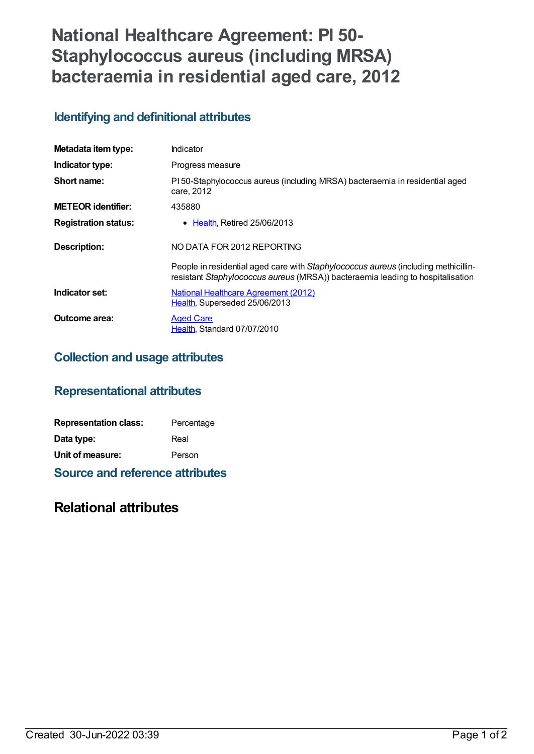# **National Healthcare Agreement: PI 50- Staphylococcus aureus (including MRSA) bacteraemia in residential aged care, 2012**

### **Identifying and definitional attributes**

| Metadata item type:         | Indicator                                                                                                                                                            |
|-----------------------------|----------------------------------------------------------------------------------------------------------------------------------------------------------------------|
| Indicator type:             | Progress measure                                                                                                                                                     |
| Short name:                 | PI 50-Staphylococcus aureus (including MRSA) bacteraemia in residential aged<br>care, 2012                                                                           |
| <b>METEOR identifier:</b>   | 435880                                                                                                                                                               |
| <b>Registration status:</b> | • Health, Retired 25/06/2013                                                                                                                                         |
| <b>Description:</b>         | NO DATA FOR 2012 REPORTING                                                                                                                                           |
|                             | People in residential aged care with Staphylococcus aureus (including methicillin-<br>resistant Staphylococcus aureus (MRSA)) bacteraemia leading to hospitalisation |
| Indicator set:              | National Healthcare Agreement (2012)<br>Health, Superseded 25/06/2013                                                                                                |
| Outcome area:               | <b>Aged Care</b><br>Health, Standard 07/07/2010                                                                                                                      |

## **Collection and usage attributes**

### **Representational attributes**

| <b>Representation class:</b> | Percentage |
|------------------------------|------------|
| Data type:                   | Real       |
| Unit of measure:             | Person     |

**Source and reference attributes**

### **Relational attributes**